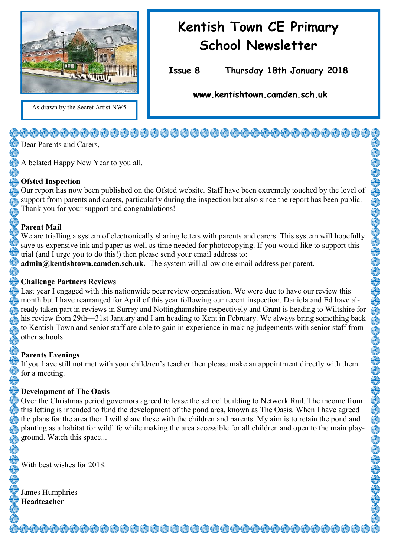

## As drawn by the Secret Artist NW5

# **Kentish Town CE Primary School Newsletter**

**Issue 8 Thursday 18th January 2018** 

**www.kentishtown.camden.sch.uk** 

### <del>\_@@@@@@@@@@@@@@@@@@@@@@@@@@</del>@@@@@@@

Dear Parents and Carers,

A belated Happy New Year to you all.

### **Ofsted Inspection**

Our report has now been published on the Ofsted website. Staff have been extremely touched by the level of support from parents and carers, particularly during the inspection but also since the report has been public. Thank you for your support and congratulations!

### **Parent Mail**

We are trialling a system of electronically sharing letters with parents and carers. This system will hopefully save us expensive ink and paper as well as time needed for photocopying. If you would like to support this trial (and I urge you to do this!) then please send your email address to:

**admin@kentishtown.camden.sch.uk.** The system will allow one email address per parent.

#### **Challenge Partners Reviews**

Last year I engaged with this nationwide peer review organisation. We were due to have our review this month but I have rearranged for April of this year following our recent inspection. Daniela and Ed have already taken part in reviews in Surrey and Nottinghamshire respectively and Grant is heading to Wiltshire for his review from 29th—31st January and I am heading to Kent in February. We always bring something back to Kentish Town and senior staff are able to gain in experience in making judgements with senior staff from other schools.

### **Parents Evenings**

If you have still not met with your child/ren's teacher then please make an appointment directly with them for a meeting.

### **Development of The Oasis**

Over the Christmas period governors agreed to lease the school building to Network Rail. The income from this letting is intended to fund the development of the pond area, known as The Oasis. When I have agreed the plans for the area then I will share these with the children and parents. My aim is to retain the pond and planting as a habitat for wildlife while making the area accessible for all children and open to the main playground. Watch this space...

With best wishes for 2018.

James Humphries **Headteacher**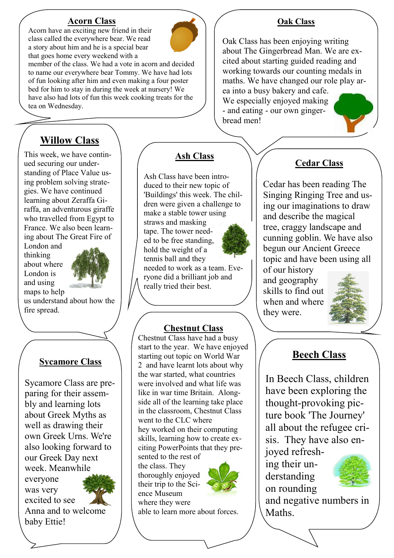#### **Acorn Class** Acorn have an exciting new friend in their

class called the everywhere bear. We read a story about him and he is a special bear

that goes home every weekend with a member of the class. We had a vote in acorn and decided to name our everywhere bear Tommy. We have had lots of fun looking after him and even making a four poster bed for him to stay in during the week at nursery! We have also had lots of fun this week cooking treats for the tea on Wednesday.

### **Willow Class**

This week, we have continued securing our understanding of Place Value using problem solving strategies. We have continued learning about Zeraffa Giraffa, an adventurous giraffe who travelled from Egypt to France. We also been learning about The Great Fire of

London and thinking about where London is and using maps to help



us understand about how the fire spread.

### **Sycamore Class**

Sycamore Class are preparing for their assembly and learning lots about Greek Myths as well as drawing their own Greek Urns. We're also looking forward to our Greek Day next week. Meanwhile everyone was very excited to see Anna and to welcome baby Ettie!

### **Ash Class**

Ash Class have been introduced to their new topic of 'Buildings' this week. The children were given a challenge to make a stable tower using straws and masking tape. The tower needed to be free standing, hold the weight of a tennis ball and they needed to work as a team. Eve-

ryone did a brilliant job and really tried their best.

### **Chestnut Class**

Chestnut Class have had a busy start to the year. We have enjoyed starting out topic on World War 2 and have learnt lots about why the war started, what countries were involved and what life was like in war time Britain. Alongside all of the learning take place in the classroom, Chestnut Class went to the CLC where hey worked on their computing skills, learning how to create exciting PowerPoints that they pre-

sented to the rest of the class. They thoroughly enjoyed their trip to the Science Museum where they were



able to learn more about forces.

### **Oak Class**

Oak Class has been enjoying writing about The Gingerbread Man. We are excited about starting guided reading and working towards our counting medals in maths. We have changed our role play area into a busy bakery and cafe. We especially enjoyed making - and eating - our own gingerbread men!



### **Cedar Class**

Cedar has been reading The Singing Ringing Tree and using our imaginations to draw and describe the magical tree, craggy landscape and cunning goblin. We have also begun our Ancient Greece topic and have been using all of our history

and geography skills to find out when and where they were.



### **Beech Class**

In Beech Class, children have been exploring the thought-provoking picture book 'The Journey' all about the refugee crisis. They have also enjoyed refresh-

ing their understanding on rounding



and negative numbers in **Maths**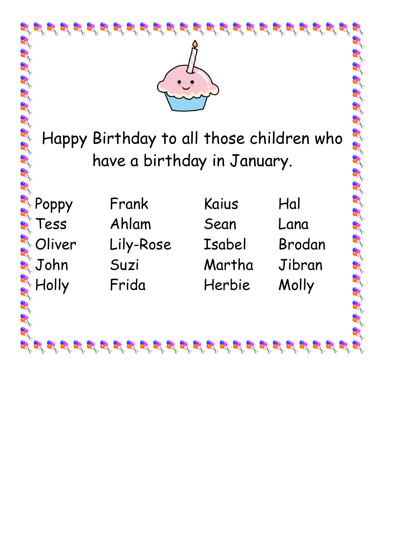| $\mathcal{B}_1 \mathcal{B}_2 \mathcal{B}_3 \mathcal{B}_4 \mathcal{B}_5 \mathcal{B}_6 \mathcal{B}_7 \mathcal{B}_8 \mathcal{B}_9 \mathcal{B}_9 \mathcal{B}_9 \mathcal{B}_9 \mathcal{B}_8 \mathcal{B}_8 \mathcal{B}_8 \mathcal{B}_8 \mathcal{B}_9 \mathcal{B}_9 \mathcal{B}_9$<br><b>CA</b><br>at at at at at at at at |           |        |        |  |
|---------------------------------------------------------------------------------------------------------------------------------------------------------------------------------------------------------------------------------------------------------------------------------------------------------------------|-----------|--------|--------|--|
| Happy Birthday to all those children who                                                                                                                                                                                                                                                                            |           |        |        |  |
| have a birthday in January.                                                                                                                                                                                                                                                                                         |           |        |        |  |
|                                                                                                                                                                                                                                                                                                                     |           |        |        |  |
| Poppy                                                                                                                                                                                                                                                                                                               | Frank     | Kaius  | Hal    |  |
| Tess                                                                                                                                                                                                                                                                                                                | Ahlam     | Sean   | Lana   |  |
| Oliver                                                                                                                                                                                                                                                                                                              | Lily-Rose | Isabel | Brodan |  |
| <b>RE</b><br>John                                                                                                                                                                                                                                                                                                   | Suzi      | Martha | Jibran |  |
| Holly                                                                                                                                                                                                                                                                                                               | Frida     | Herbie | Molly  |  |
|                                                                                                                                                                                                                                                                                                                     |           |        |        |  |